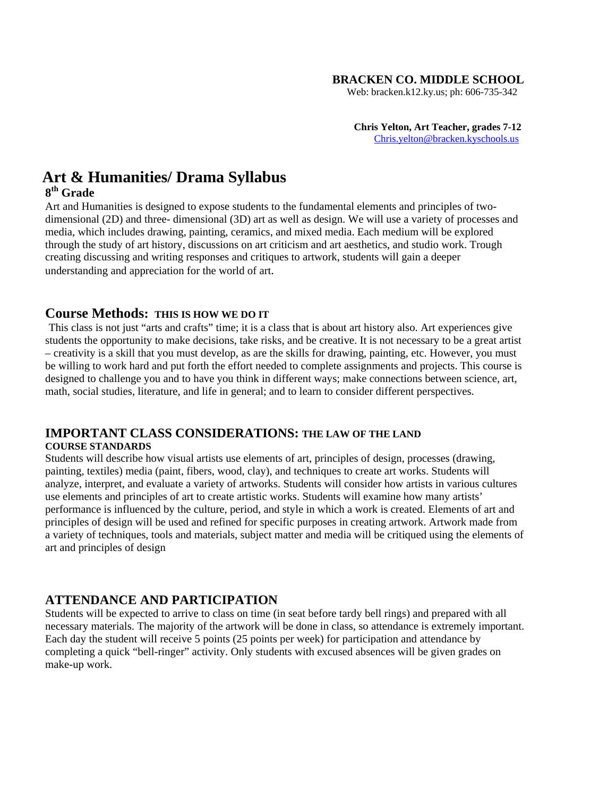#### **BRACKEN CO. MIDDLE SCHOOL**

Web: bracken.k12.ky.us; ph: 606-735-342

 **Chris Yelton, Art Teacher, grades 7-12** [Chris.yelton@bracken.kyschools.us](mailto:Chris.yelton@bracken.kyschools.us)

# **Art & Humanities/ Drama Syllabus**

#### **8th Grade**

Art and Humanities is designed to expose students to the fundamental elements and principles of twodimensional (2D) and three- dimensional (3D) art as well as design. We will use a variety of processes and media, which includes drawing, painting, ceramics, and mixed media. Each medium will be explored through the study of art history, discussions on art criticism and art aesthetics, and studio work. Trough creating discussing and writing responses and critiques to artwork, students will gain a deeper understanding and appreciation for the world of art.

#### **Course Methods: THIS IS HOW WE DO IT**

This class is not just "arts and crafts" time; it is a class that is about art history also. Art experiences give students the opportunity to make decisions, take risks, and be creative. It is not necessary to be a great artist – creativity is a skill that you must develop, as are the skills for drawing, painting, etc. However, you must be willing to work hard and put forth the effort needed to complete assignments and projects. This course is designed to challenge you and to have you think in different ways; make connections between science, art, math, social studies, literature, and life in general; and to learn to consider different perspectives.

## **IMPORTANT CLASS CONSIDERATIONS: THE LAW OF THE LAND**

#### **COURSE STANDARDS**

Students will describe how visual artists use elements of art, principles of design, processes (drawing, painting, textiles) media (paint, fibers, wood, clay), and techniques to create art works. Students will analyze, interpret, and evaluate a variety of artworks. Students will consider how artists in various cultures use elements and principles of art to create artistic works. Students will examine how many artists' performance is influenced by the culture, period, and style in which a work is created. Elements of art and principles of design will be used and refined for specific purposes in creating artwork. Artwork made from a variety of techniques, tools and materials, subject matter and media will be critiqued using the elements of art and principles of design

## **ATTENDANCE AND PARTICIPATION**

Students will be expected to arrive to class on time (in seat before tardy bell rings) and prepared with all necessary materials. The majority of the artwork will be done in class, so attendance is extremely important. Each day the student will receive 5 points (25 points per week) for participation and attendance by completing a quick "bell-ringer" activity. Only students with excused absences will be given grades on make-up work.